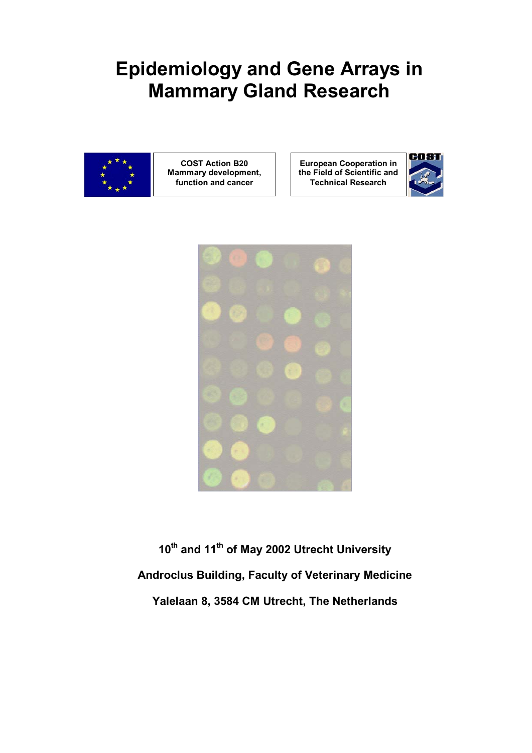# **Epidemiology and Gene Arrays in Mammary Gland Research**



**COST Action B20 Mammary development, function and cancer** 

**European Cooperation in the Field of Scientific and Technical Research** 





**10th and 11th of May 2002 Utrecht University Androclus Building, Faculty of Veterinary Medicine Yalelaan 8, 3584 CM Utrecht, The Netherlands**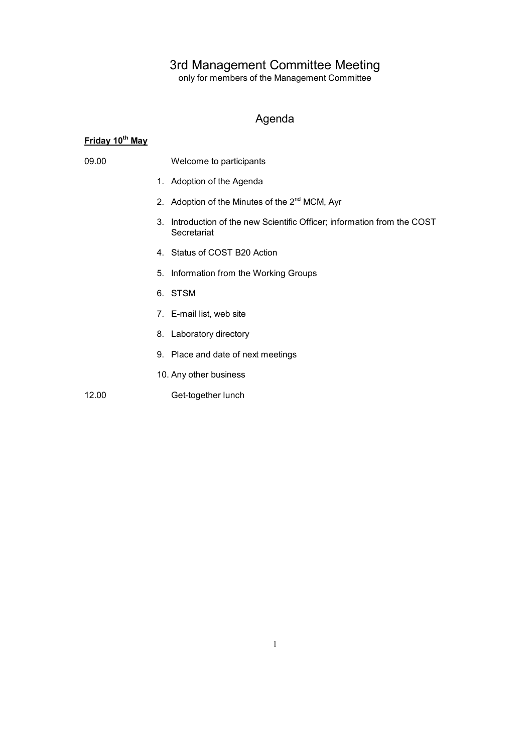### 3rd Management Committee Meeting

only for members of the Management Committee

## Agenda

## **Friday 10th May**

| 09.00 |    | Welcome to participants                                                              |  |
|-------|----|--------------------------------------------------------------------------------------|--|
|       |    | 1. Adoption of the Agenda                                                            |  |
|       |    | 2. Adoption of the Minutes of the 2 <sup>nd</sup> MCM, Ayr                           |  |
|       | 3. | Introduction of the new Scientific Officer; information from the COST<br>Secretariat |  |
|       |    | 4. Status of COST B20 Action                                                         |  |
|       |    | 5. Information from the Working Groups                                               |  |
|       |    | 6. STSM                                                                              |  |
|       |    | 7. E-mail list, web site                                                             |  |
|       |    | 8. Laboratory directory                                                              |  |
|       |    | 9. Place and date of next meetings                                                   |  |
|       |    | 10. Any other business                                                               |  |
| 12.00 |    | Get-together lunch                                                                   |  |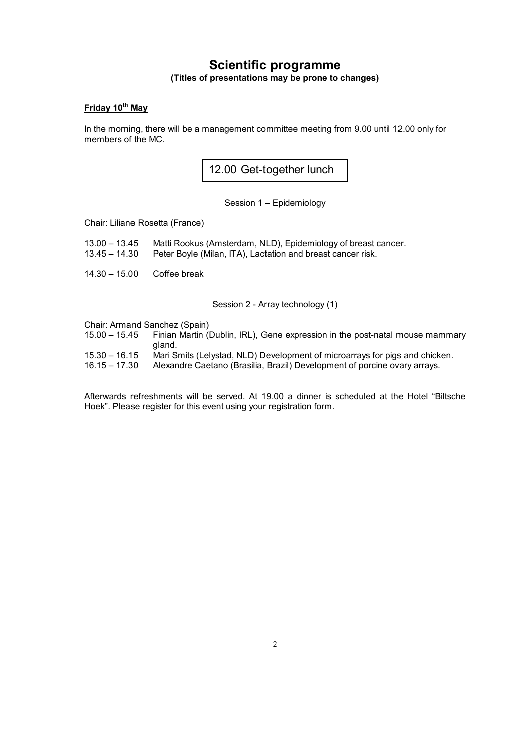## **Scientific programme (Titles of presentations may be prone to changes)**

### **Friday 10th May**

In the morning, there will be a management committee meeting from 9.00 until 12.00 only for members of the MC.

12.00 Get-together lunch

Session 1 – Epidemiology

Chair: Liliane Rosetta (France)

- 13.00 13.45 Matti Rookus (Amsterdam, NLD), Epidemiology of breast cancer.
- 13.45 14.30 Peter Boyle (Milan, ITA), Lactation and breast cancer risk.
- 14.30 15.00 Coffee break

Session 2 - Array technology (1)

Chair: Armand Sanchez (Spain)<br>15.00 - 15.45 Finian Martin (

- Finian Martin (Dublin, IRL), Gene expression in the post-natal mouse mammary gland.
- 15.30 16.15 Mari Smits (Lelystad, NLD) Development of microarrays for pigs and chicken.
- 16.15 17.30 Alexandre Caetano (Brasilia, Brazil) Development of porcine ovary arrays.

Afterwards refreshments will be served. At 19.00 a dinner is scheduled at the Hotel "Biltsche Hoek". Please register for this event using your registration form.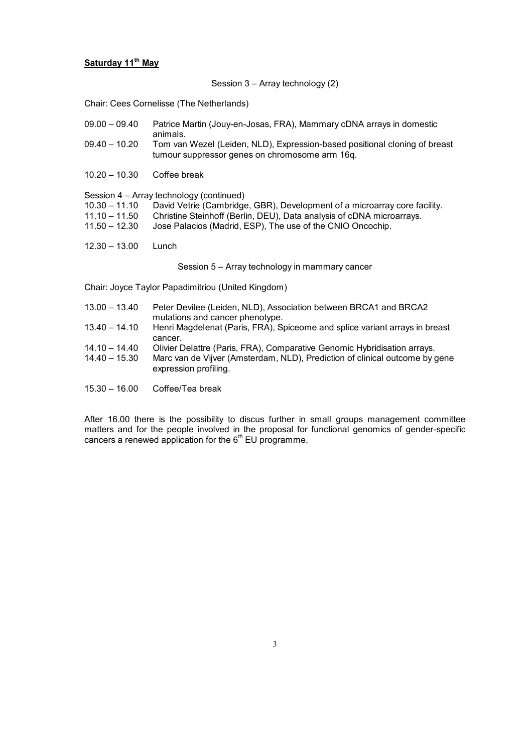#### **Saturday 11th May**

Session 3 – Array technology (2)

Chair: Cees Cornelisse (The Netherlands)

| $09.00 - 09.40$ | Patrice Martin (Jouy-en-Josas, FRA), Mammary cDNA arrays in domestic     |  |  |  |  |  |
|-----------------|--------------------------------------------------------------------------|--|--|--|--|--|
|                 | animals.                                                                 |  |  |  |  |  |
| nn nn           | Tom van Wazal (Loidan, NLD). Everession based positional eleping of broa |  |  |  |  |  |

- 09.40 10.20 Tom van Wezel (Leiden, NLD), Expression-based positional cloning of breast tumour suppressor genes on chromosome arm 16q.
- 10.20 10.30 Coffee break

Session 4 – Array technology (continued)

| 10.30 - 11.10 David Vetrie (Cambridge, GBR), Development of a microarray core facility. |  |  |
|-----------------------------------------------------------------------------------------|--|--|
|                                                                                         |  |  |

- 11.10 11.50 Christine Steinhoff (Berlin, DEU), Data analysis of cDNA microarrays.
- 11.50 12.30 Jose Palacios (Madrid, ESP), The use of the CNIO Oncochip.
- 12.30 13.00 Lunch

Session 5 – Array technology in mammary cancer

Chair: Joyce Taylor Papadimitriou (United Kingdom)

- 13.00 13.40 Peter Devilee (Leiden, NLD), Association between BRCA1 and BRCA2 mutations and cancer phenotype. 13.40 – 14.10 Henri Magdelenat (Paris, FRA), Spiceome and splice variant arrays in breast
- cancer.
- 14.10 14.40 Olivier Delattre (Paris, FRA), Comparative Genomic Hybridisation arrays.
- 14.40 15.30 Marc van de Vijver (Amsterdam, NLD), Prediction of clinical outcome by gene expression profiling.
- 15.30 16.00 Coffee/Tea break

After 16.00 there is the possibility to discus further in small groups management committee matters and for the people involved in the proposal for functional genomics of gender-specific cancers a renewed application for the  $6<sup>th</sup>$  EU programme.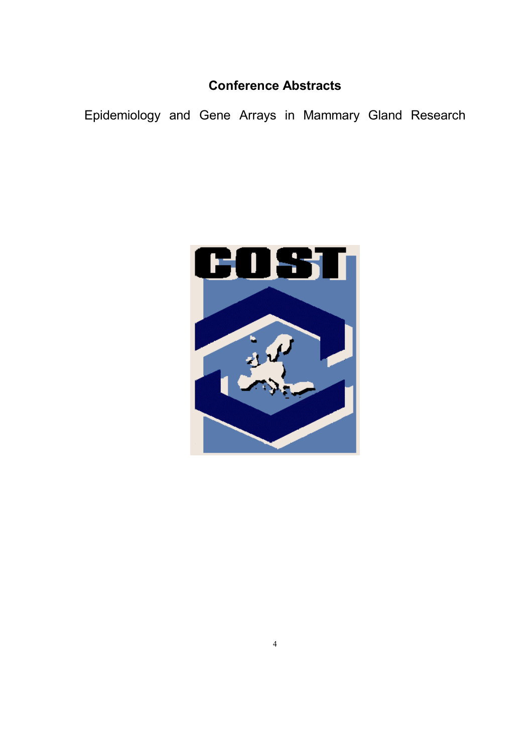## **Conference Abstracts**

Epidemiology and Gene Arrays in Mammary Gland Research

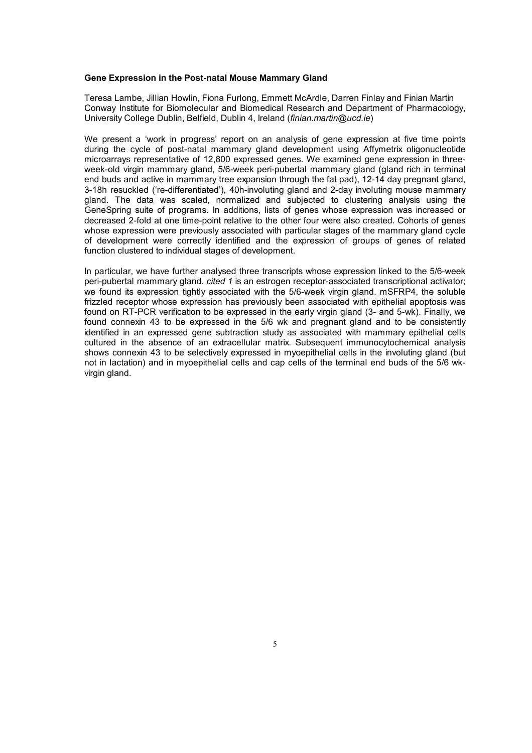#### **Gene Expression in the Post-natal Mouse Mammary Gland**

Teresa Lambe, Jillian Howlin, Fiona Furlong, Emmett McArdle, Darren Finlay and Finian Martin Conway Institute for Biomolecular and Biomedical Research and Department of Pharmacology, University College Dublin, Belfield, Dublin 4, Ireland (*finian.martin@ucd.ie*)

We present a 'work in progress' report on an analysis of gene expression at five time points during the cycle of post-natal mammary gland development using Affymetrix oligonucleotide microarrays representative of 12,800 expressed genes. We examined gene expression in threeweek-old virgin mammary gland, 5/6-week peri-pubertal mammary gland (gland rich in terminal end buds and active in mammary tree expansion through the fat pad), 12-14 day pregnant gland, 3-18h resuckled ('re-differentiated'), 40h-involuting gland and 2-day involuting mouse mammary gland. The data was scaled, normalized and subjected to clustering analysis using the GeneSpring suite of programs. In additions, lists of genes whose expression was increased or decreased 2-fold at one time-point relative to the other four were also created. Cohorts of genes whose expression were previously associated with particular stages of the mammary gland cycle of development were correctly identified and the expression of groups of genes of related function clustered to individual stages of development.

In particular, we have further analysed three transcripts whose expression linked to the 5/6-week peri-pubertal mammary gland. *cited 1* is an estrogen receptor-associated transcriptional activator; we found its expression tightly associated with the 5/6-week virgin gland. mSFRP4, the soluble frizzled receptor whose expression has previously been associated with epithelial apoptosis was found on RT-PCR verification to be expressed in the early virgin gland (3- and 5-wk). Finally, we found connexin 43 to be expressed in the 5/6 wk and pregnant gland and to be consistently identified in an expressed gene subtraction study as associated with mammary epithelial cells cultured in the absence of an extracellular matrix. Subsequent immunocytochemical analysis shows connexin 43 to be selectively expressed in myoepithelial cells in the involuting gland (but not in lactation) and in myoepithelial cells and cap cells of the terminal end buds of the 5/6 wkvirgin gland.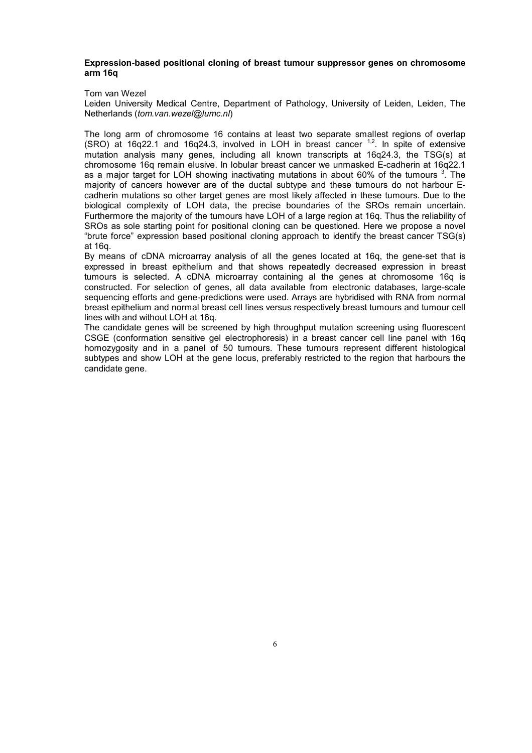#### **Expression-based positional cloning of breast tumour suppressor genes on chromosome arm 16q**

#### Tom van Wezel

Leiden University Medical Centre, Department of Pathology, University of Leiden, Leiden, The Netherlands (*tom.van.wezel@lumc.nl*)

The long arm of chromosome 16 contains at least two separate smallest regions of overlap (SRO) at 16q22.1 and 16q24.3, involved in LOH in breast cancer  $1,2$ . In spite of extensive mutation analysis many genes, including all known transcripts at 16q24.3, the TSG(s) at chromosome 16q remain elusive. In lobular breast cancer we unmasked E-cadherin at 16q22.1 as a major target for LOH showing inactivating mutations in about 60% of the tumours <sup>3</sup>. The majority of cancers however are of the ductal subtype and these tumours do not harbour Ecadherin mutations so other target genes are most likely affected in these tumours. Due to the biological complexity of LOH data, the precise boundaries of the SROs remain uncertain. Furthermore the majority of the tumours have LOH of a large region at 16q. Thus the reliability of SROs as sole starting point for positional cloning can be questioned. Here we propose a novel "brute force" expression based positional cloning approach to identify the breast cancer TSG(s) at 16q.

By means of cDNA microarray analysis of all the genes located at 16q, the gene-set that is expressed in breast epithelium and that shows repeatedly decreased expression in breast tumours is selected. A cDNA microarray containing al the genes at chromosome 16q is constructed. For selection of genes, all data available from electronic databases, large-scale sequencing efforts and gene-predictions were used. Arrays are hybridised with RNA from normal breast epithelium and normal breast cell lines versus respectively breast tumours and tumour cell lines with and without LOH at 16q.

The candidate genes will be screened by high throughput mutation screening using fluorescent CSGE (conformation sensitive gel electrophoresis) in a breast cancer cell line panel with 16q homozygosity and in a panel of 50 tumours. These tumours represent different histological subtypes and show LOH at the gene locus, preferably restricted to the region that harbours the candidate gene.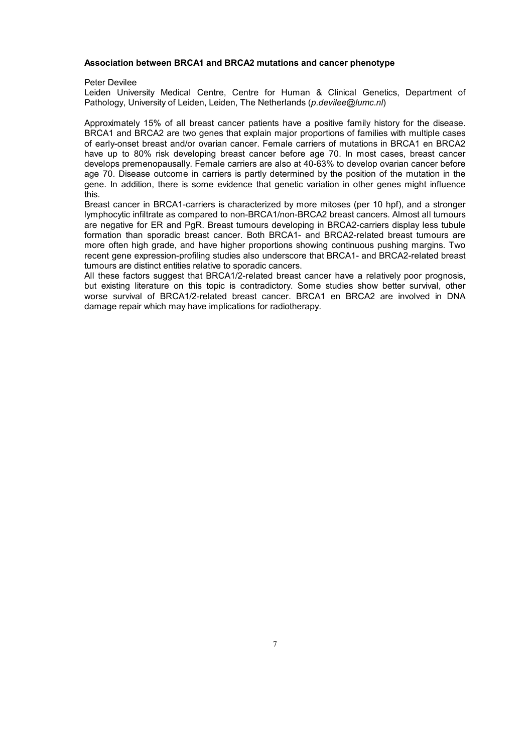#### **Association between BRCA1 and BRCA2 mutations and cancer phenotype**

Peter Devilee

Leiden University Medical Centre, Centre for Human & Clinical Genetics, Department of Pathology, University of Leiden, Leiden, The Netherlands (*p.devilee@lumc.nl*)

Approximately 15% of all breast cancer patients have a positive family history for the disease. BRCA1 and BRCA2 are two genes that explain major proportions of families with multiple cases of early-onset breast and/or ovarian cancer. Female carriers of mutations in BRCA1 en BRCA2 have up to 80% risk developing breast cancer before age 70. In most cases, breast cancer develops premenopausally. Female carriers are also at 40-63% to develop ovarian cancer before age 70. Disease outcome in carriers is partly determined by the position of the mutation in the gene. In addition, there is some evidence that genetic variation in other genes might influence this.

Breast cancer in BRCA1-carriers is characterized by more mitoses (per 10 hpf), and a stronger lymphocytic infiltrate as compared to non-BRCA1/non-BRCA2 breast cancers. Almost all tumours are negative for ER and PgR. Breast tumours developing in BRCA2-carriers display less tubule formation than sporadic breast cancer. Both BRCA1- and BRCA2-related breast tumours are more often high grade, and have higher proportions showing continuous pushing margins. Two recent gene expression-profiling studies also underscore that BRCA1- and BRCA2-related breast tumours are distinct entities relative to sporadic cancers.

All these factors suggest that BRCA1/2-related breast cancer have a relatively poor prognosis, but existing literature on this topic is contradictory. Some studies show better survival, other worse survival of BRCA1/2-related breast cancer. BRCA1 en BRCA2 are involved in DNA damage repair which may have implications for radiotherapy.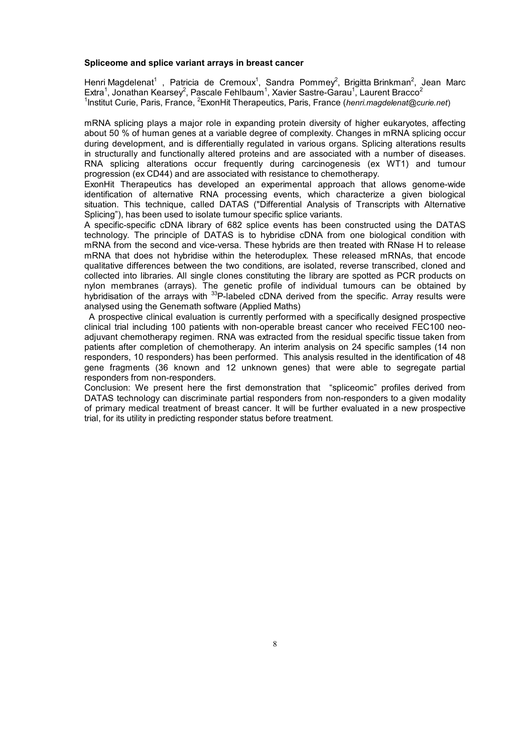#### **Spliceome and splice variant arrays in breast cancer**

Henri Magdelenat<sup>1</sup>, Patricia de Cremoux<sup>1</sup>, Sandra Pommey<sup>2</sup>, Brigitta Brinkman<sup>2</sup>, Jean Marc Extra<sup>1</sup>, Jonathan Kearsey<sup>2</sup>, Pascale Fehlbaum<sup>1</sup>, Xavier Sastre-Garau<sup>1</sup>, Laurent Bracco<sup>2</sup> <sup>1</sup>Institut Curie, Paris, France, <sup>2</sup>ExonHit Therapeutics, Paris, France (henri.magdelenat@curie.net)

mRNA splicing plays a major role in expanding protein diversity of higher eukaryotes, affecting about 50 % of human genes at a variable degree of complexity. Changes in mRNA splicing occur during development, and is differentially regulated in various organs. Splicing alterations results in structurally and functionally altered proteins and are associated with a number of diseases. RNA splicing alterations occur frequently during carcinogenesis (ex WT1) and tumour progression (ex CD44) and are associated with resistance to chemotherapy.

ExonHit Therapeutics has developed an experimental approach that allows genome-wide identification of alternative RNA processing events, which characterize a given biological situation. This technique, called DATAS ("Differential Analysis of Transcripts with Alternative Splicing"), has been used to isolate tumour specific splice variants.

A specific-specific cDNA library of 682 splice events has been constructed using the DATAS technology. The principle of DATAS is to hybridise cDNA from one biological condition with mRNA from the second and vice-versa. These hybrids are then treated with RNase H to release mRNA that does not hybridise within the heteroduplex. These released mRNAs, that encode qualitative differences between the two conditions, are isolated, reverse transcribed, cloned and collected into libraries. All single clones constituting the library are spotted as PCR products on nylon membranes (arrays). The genetic profile of individual tumours can be obtained by hybridisation of the arrays with <sup>33</sup>P-labeled cDNA derived from the specific. Array results were analysed using the Genemath software (Applied Maths)

 A prospective clinical evaluation is currently performed with a specifically designed prospective clinical trial including 100 patients with non-operable breast cancer who received FEC100 neoadjuvant chemotherapy regimen. RNA was extracted from the residual specific tissue taken from patients after completion of chemotherapy. An interim analysis on 24 specific samples (14 non responders, 10 responders) has been performed. This analysis resulted in the identification of 48 gene fragments (36 known and 12 unknown genes) that were able to segregate partial responders from non-responders.

Conclusion: We present here the first demonstration that "spliceomic" profiles derived from DATAS technology can discriminate partial responders from non-responders to a given modality of primary medical treatment of breast cancer. It will be further evaluated in a new prospective trial, for its utility in predicting responder status before treatment.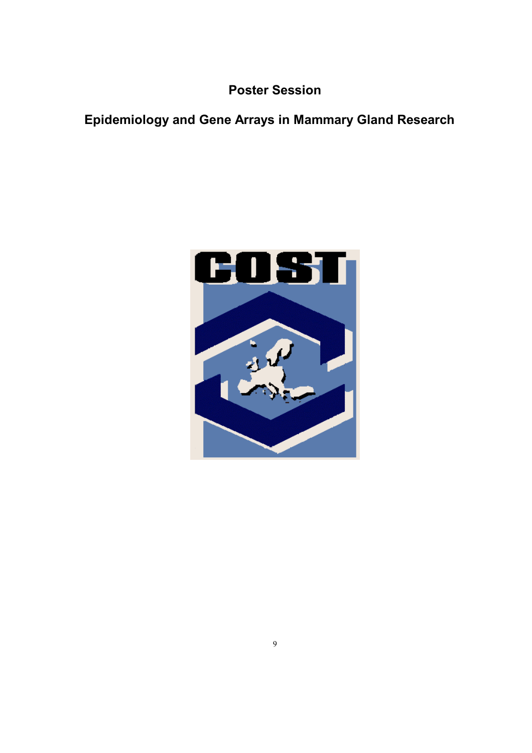**Poster Session** 

## **Epidemiology and Gene Arrays in Mammary Gland Research**

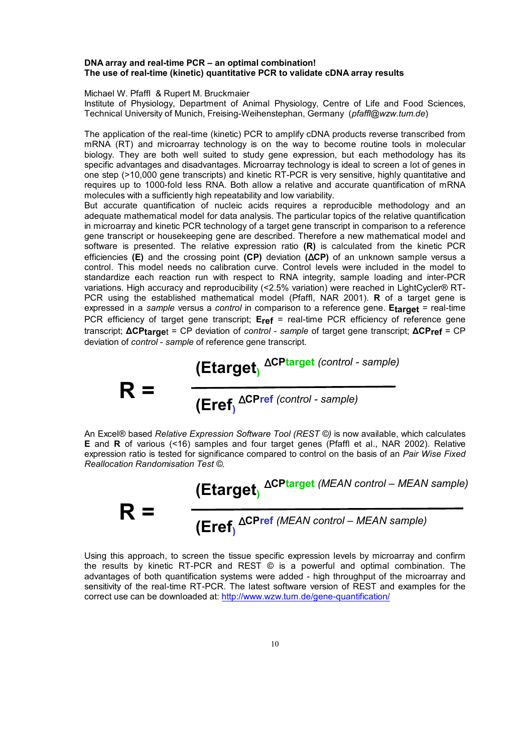#### **DNA array and real-time PCR – an optimal combination! The use of real-time (kinetic) quantitative PCR to validate cDNA array results**

Michael W. Pfaffl & Rupert M. Bruckmaier

Institute of Physiology, Department of Animal Physiology, Centre of Life and Food Sciences, Technical University of Munich, Freising-Weihenstephan, Germany (*pfaffl@wzw.tum.de*)

The application of the real-time (kinetic) PCR to amplify cDNA products reverse transcribed from mRNA (RT) and microarray technology is on the way to become routine tools in molecular biology. They are both well suited to study gene expression, but each methodology has its specific advantages and disadvantages. Microarray technology is ideal to screen a lot of genes in one step (>10,000 gene transcripts) and kinetic RT-PCR is very sensitive, highly quantitative and requires up to 1000-fold less RNA. Both allow a relative and accurate quantification of mRNA molecules with a sufficiently high repeatability and low variability.

But accurate quantification of nucleic acids requires a reproducible methodology and an adequate mathematical model for data analysis. The particular topics of the relative quantification in microarray and kinetic PCR technology of a target gene transcript in comparison to a reference gene transcript or housekeeping gene are described. Therefore a new mathematical model and software is presented. The relative expression ratio **(R)** is calculated from the kinetic PCR efficiencies **(E)** and the crossing point **(CP)** deviation **(**∆**CP)** of an unknown sample versus a control. This model needs no calibration curve. Control levels were included in the model to standardize each reaction run with respect to RNA integrity, sample loading and inter-PCR variations. High accuracy and reproducibility (<2.5% variation) were reached in LightCycler® RT-PCR using the established mathematical model (Pfaffl, NAR 2001). **R** of a target gene is expressed in a *sample* versus a *control* in comparison to a reference gene. **Etarget** = real-time PCR efficiency of target gene transcript; **Eref** = real-time PCR efficiency of reference gene transcript; **∆CPtarge**t = CP deviation of *control* - *sample* of target gene transcript; **∆CPref** = CP deviation of *control* - *sample* of reference gene transcript.

**R =** 

**(Eref)** ∆**CPref** *(control - sample)*

**(Etarget)** ∆**CPtarget** *(control - sample)* 

An Excel® based *Relative Expression Software Tool (REST ©)* is now available, which calculates **E** and **R** of various (<16) samples and four target genes (Pfaffl et al., NAR 2002). Relative expression ratio is tested for significance compared to control on the basis of an *Pair Wise Fixed Reallocation Randomisation Test ©.*



Using this approach, to screen the tissue specific expression levels by microarray and confirm the results by kinetic RT-PCR and REST © is a powerful and optimal combination. The advantages of both quantification systems were added - high throughput of the microarray and sensitivity of the real-time RT-PCR. The latest software version of REST and examples for the correct use can be downloaded at: http://www.wzw.tum.de/gene-quantification/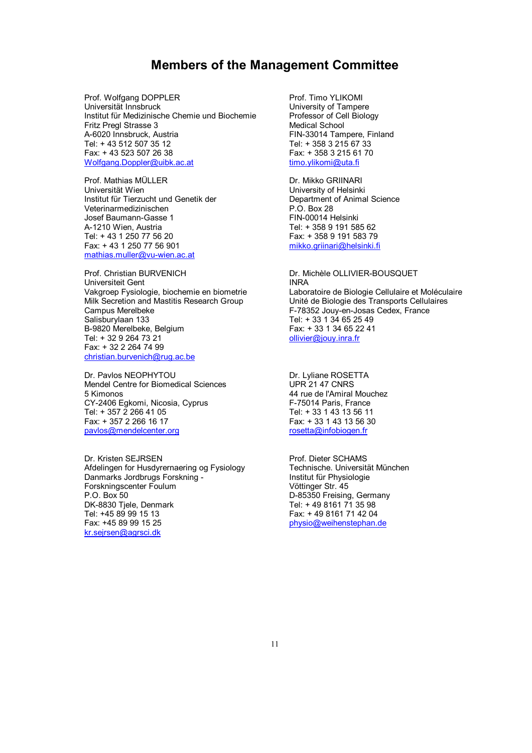### **Members of the Management Committee**

Prof. Wolfgang DOPPLER Universität Innsbruck Institut für Medizinische Chemie und Biochemie Fritz Pregl Strasse 3 A-6020 Innsbruck, Austria Tel: + 43 512 507 35 12 Fax: + 43 523 507 26 38 Wolfgang.Doppler@uibk.ac.at

Prof. Mathias MÜLLER Universität Wien Institut für Tierzucht und Genetik der Veterinarmedizinischen Josef Baumann-Gasse 1 A-1210 Wien, Austria Tel: + 43 1 250 77 56 20 Fax: + 43 1 250 77 56 901 mathias.muller@vu-wien.ac.at

Prof. Christian BURVENICH Universiteit Gent Vakgroep Fysiologie, biochemie en biometrie Milk Secretion and Mastitis Research Group Campus Merelbeke Salisburylaan 133 B-9820 Merelbeke, Belgium Tel: + 32 9 264 73 21 Fax: + 32 2 264 74 99 christian.burvenich@rug.ac.be

Dr. Pavlos NEOPHYTOU Mendel Centre for Biomedical Sciences 5 Kimonos CY-2406 Egkomi, Nicosia, Cyprus Tel: + 357 2 266 41 05 Fax: + 357 2 266 16 17 pavlos@mendelcenter.org

Dr. Kristen SEJRSEN Afdelingen for Husdyrernaering og Fysiology Danmarks Jordbrugs Forskning - Forskningscenter Foulum P.O. Box 50 DK-8830 Tjele, Denmark Tel: +45 89 99 15 13 Fax: +45 89 99 15 25 kr.sejrsen@agrsci.dk

Prof. Timo YLIKOMI University of Tampere Professor of Cell Biology Medical School FIN-33014 Tampere, Finland Tel: + 358 3 215 67 33 Fax: + 358 3 215 61 70 timo.ylikomi@uta.fi

Dr. Mikko GRIINARI University of Helsinki Department of Animal Science P.O. Box 28 FIN-00014 Helsinki Tel: + 358 9 191 585 62 Fax: + 358 9 191 583 79 mikko.griinari@helsinki.fi

Dr. Michèle OLLIVIER-BOUSQUET INRA Laboratoire de Biologie Cellulaire et Moléculaire Unité de Biologie des Transports Cellulaires F-78352 Jouy-en-Josas Cedex, France Tel: + 33 1 34 65 25 49 Fax: + 33 1 34 65 22 41 ollivier@jouy.inra.fr

Dr. Lyliane ROSETTA UPR 21 47 CNRS 44 rue de l'Amiral Mouchez F-75014 Paris, France Tel: + 33 1 43 13 56 11 Fax: + 33 1 43 13 56 30 rosetta@infobiogen.fr

Prof. Dieter SCHAMS Technische. Universität München Institut für Physiologie Vöttinger Str. 45 D-85350 Freising, Germany Tel: + 49 8161 71 35 98 Fax: + 49 8161 71 42 04 physio@weihenstephan.de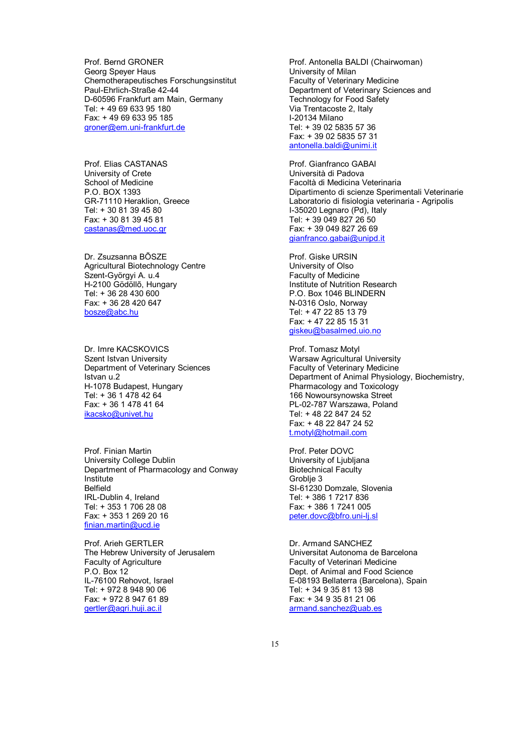Prof. Bernd GRONER Georg Speyer Haus Chemotherapeutisches Forschungsinstitut Paul-Ehrlich-Straße 42-44 D-60596 Frankfurt am Main, Germany Tel: + 49 69 633 95 180 Fax: + 49 69 633 95 185 groner@em.uni-frankfurt.de

Prof. Elias CASTANAS University of Crete School of Medicine P.O. BOX 1393 GR-71110 Heraklion, Greece Tel: + 30 81 39 45 80 Fax: + 30 81 39 45 81 castanas@med.uoc.gr

Dr. Zsuzsanna BÕSZE Agricultural Biotechnology Centre Szent-Györgyi A. u.4 H-2100 Gödöllõ, Hungary Tel: + 36 28 430 600 Fax: + 36 28 420 647 bosze@abc.hu

Dr. Imre KACSKOVICS Szent Istvan University Department of Veterinary Sciences Istvan u.2 H-1078 Budapest, Hungary Tel: + 36 1 478 42 64 Fax: + 36 1 478 41 64 ikacsko@univet.hu

Prof. Finian Martin University College Dublin Department of Pharmacology and Conway Institute Belfield IRL-Dublin 4, Ireland Tel: + 353 1 706 28 08 Fax: + 353 1 269 20 16 finian.martin@ucd.ie

Prof. Arieh GERTLER The Hebrew University of Jerusalem Faculty of Agriculture P.O. Box 12 IL-76100 Rehovot, Israel Tel: + 972 8 948 90 06 Fax: + 972 8 947 61 89 gertler@agri.huji.ac.il

Prof. Antonella BALDI (Chairwoman) University of Milan Faculty of Veterinary Medicine Department of Veterinary Sciences and Technology for Food Safety Via Trentacoste 2, Italy I-20134 Milano Tel: + 39 02 5835 57 36 Fax: + 39 02 5835 57 31 antonella.baldi@unimi.it

Prof. Gianfranco GABAI Università di Padova Facoltà di Medicina Veterinaria Dipartimento di scienze Sperimentali Veterinarie Laboratorio di fisiologia veterinaria - Agripolis I-35020 Legnaro (Pd), Italy Tel: + 39 049 827 26 50 Fax: + 39 049 827 26 69 gianfranco.gabai@unipd.it

Prof. Giske URSIN University of Olso Faculty of Medicine Institute of Nutrition Research P.O. Box 1046 BLINDERN N-0316 Oslo, Norway Tel: + 47 22 85 13 79 Fax: + 47 22 85 15 31 giskeu@basalmed.uio.no

Prof. Tomasz Motyl Warsaw Agricultural University Faculty of Veterinary Medicine Department of Animal Physiology, Biochemistry, Pharmacology and Toxicology 166 Nowoursynowska Street PL-02-787 Warszawa, Poland Tel: + 48 22 847 24 52 Fax: + 48 22 847 24 52 t.motyl@hotmail.com

Prof. Peter DOVC University of Ljubljana Biotechnical Faculty Groblie 3 SI-61230 Domzale, Slovenia Tel: + 386 1 7217 836 Fax: + 386 1 7241 005 peter.dovc@bfro.uni-lj.sl

Dr. Armand SANCHEZ Universitat Autonoma de Barcelona Faculty of Veterinari Medicine Dept. of Animal and Food Science E-08193 Bellaterra (Barcelona), Spain Tel: + 34 9 35 81 13 98 Fax: + 34 9 35 81 21 06 armand.sanchez@uab.es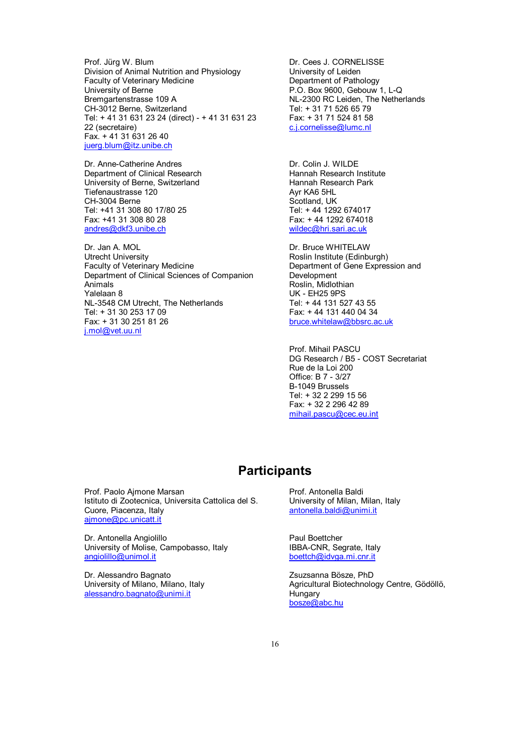Prof. Jürg W. Blum Division of Animal Nutrition and Physiology Faculty of Veterinary Medicine University of Berne Bremgartenstrasse 109 A CH-3012 Berne, Switzerland Tel: + 41 31 631 23 24 (direct) - + 41 31 631 23 22 (secretaire) Fax. + 41 31 631 26 40 juerg.blum@itz.unibe.ch

Dr. Anne-Catherine Andres Department of Clinical Research University of Berne, Switzerland Tiefenaustrasse 120 CH-3004 Berne Tel: +41 31 308 80 17/80 25 Fax: +41 31 308 80 28 andres@dkf3.unibe.ch

Dr. Jan A. MOL Utrecht University Faculty of Veterinary Medicine Department of Clinical Sciences of Companion Animals Yalelaan 8 NL-3548 CM Utrecht, The Netherlands Tel: + 31 30 253 17 09 Fax: + 31 30 251 81 26 j.mol@vet.uu.nl

Dr. Cees J. CORNELISSE University of Leiden Department of Pathology P.O. Box 9600, Gebouw 1, L-Q NL-2300 RC Leiden, The Netherlands Tel: + 31 71 526 65 79 Fax: + 31 71 524 81 58 c.j.cornelisse@lumc.nl

Dr. Colin J. WILDE Hannah Research Institute Hannah Research Park Ayr KA6 5HL Scotland, UK Tel: + 44 1292 674017 Fax: + 44 1292 674018 wildec@hri.sari.ac.uk

Dr. Bruce WHITELAW Roslin Institute (Edinburgh) Department of Gene Expression and Development Roslin, Midlothian UK - EH25 9PS Tel: + 44 131 527 43 55 Fax: + 44 131 440 04 34 bruce.whitelaw@bbsrc.ac.uk

Prof. Mihail PASCU DG Research / B5 - COST Secretariat Rue de la Loi 200 Office: B 7 - 3/27 B-1049 Brussels Tel: + 32 2 299 15 56 Fax: + 32 2 296 42 89 mihail.pascu@cec.eu.int

## **Participants**

Prof. Paolo Ajmone Marsan Istituto di Zootecnica, Universita Cattolica del S. Cuore, Piacenza, Italy ajmone@pc.unicatt.it

Dr. Antonella Angiolillo University of Molise, Campobasso, Italy angiolillo@unimol.it

Dr. Alessandro Bagnato University of Milano, Milano, Italy alessandro.bagnato@unimi.it

Prof. Antonella Baldi University of Milan, Milan, Italy antonella.baldi@unimi.it

Paul Boettcher IBBA-CNR, Segrate, Italy boettch@idvga.mi.cnr.it

Zsuzsanna Bösze, PhD Agricultural Biotechnology Centre, Gödöllö, Hungary bosze@abc.hu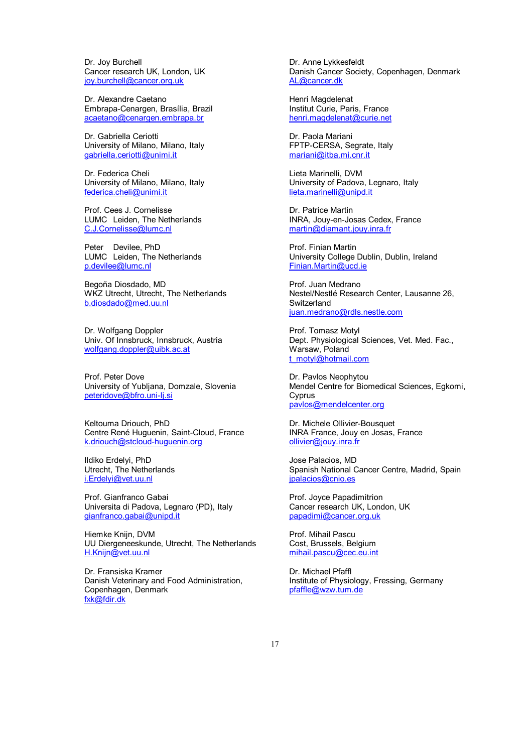Dr. Joy Burchell Cancer research UK, London, UK joy.burchell@cancer.org.uk

Dr. Alexandre Caetano Embrapa-Cenargen, Brasília, Brazil acaetano@cenargen.embrapa.br

Dr. Gabriella Ceriotti University of Milano, Milano, Italy gabriella.ceriotti@unimi.it

Dr. Federica Cheli University of Milano, Milano, Italy federica.cheli@unimi.it

Prof. Cees J. Cornelisse LUMC Leiden, The Netherlands C.J.Cornelisse@lumc.nl

Peter Devilee, PhD LUMC Leiden, The Netherlands p.devilee@lumc.nl

Begoña Diosdado, MD WKZ Utrecht, Utrecht, The Netherlands b.diosdado@med.uu.nl

Dr. Wolfgang Doppler Univ. Of Innsbruck, Innsbruck, Austria wolfgang.doppler@uibk.ac.at

Prof. Peter Dove University of Yubljana, Domzale, Slovenia peteridove@bfro.uni-lj.si

Keltouma Driouch, PhD Centre René Huguenin, Saint-Cloud, France k.driouch@stcloud-huguenin.org

Ildiko Erdelyi, PhD Utrecht, The Netherlands i.Erdelyi@vet.uu.nl

Prof. Gianfranco Gabai Universita di Padova, Legnaro (PD), Italy gianfranco.gabai@unipd.it

Hiemke Knijn, DVM UU Diergeneeskunde, Utrecht, The Netherlands H.Knijn@vet.uu.nl

Dr. Fransiska Kramer Danish Veterinary and Food Administration, Copenhagen, Denmark fxk@fdir.dk

Dr. Anne Lykkesfeldt Danish Cancer Society, Copenhagen, Denmark AL@cancer.dk

Henri Magdelenat Institut Curie, Paris, France henri.magdelenat@curie.net

Dr. Paola Mariani FPTP-CERSA, Segrate, Italy mariani@itba.mi.cnr.it

Lieta Marinelli, DVM University of Padova, Legnaro, Italy lieta.marinelli@unipd.it

Dr. Patrice Martin INRA, Jouy-en-Josas Cedex, France martin@diamant.jouy.inra.fr

Prof. Finian Martin University College Dublin, Dublin, Ireland Finian.Martin@ucd.ie

Prof. Juan Medrano Nestel/Nestlé Research Center, Lausanne 26, **Switzerland** juan.medrano@rdls.nestle.com

Prof. Tomasz Motyl Dept. Physiological Sciences, Vet. Med. Fac., Warsaw, Poland t\_motyl@hotmail.com

Dr. Pavlos Neophytou Mendel Centre for Biomedical Sciences, Egkomi, Cyprus pavlos@mendelcenter.org

Dr. Michele Ollivier-Bousquet INRA France, Jouy en Josas, France ollivier@jouy.inra.fr

Jose Palacios, MD Spanish National Cancer Centre, Madrid, Spain jpalacios@cnio.es

Prof. Joyce Papadimitrion Cancer research UK, London, UK papadimi@cancer.org.uk

Prof. Mihail Pascu Cost, Brussels, Belgium mihail.pascu@cec.eu.int

Dr. Michael Pfaffl Institute of Physiology, Fressing, Germany pfaffle@wzw.tum.de